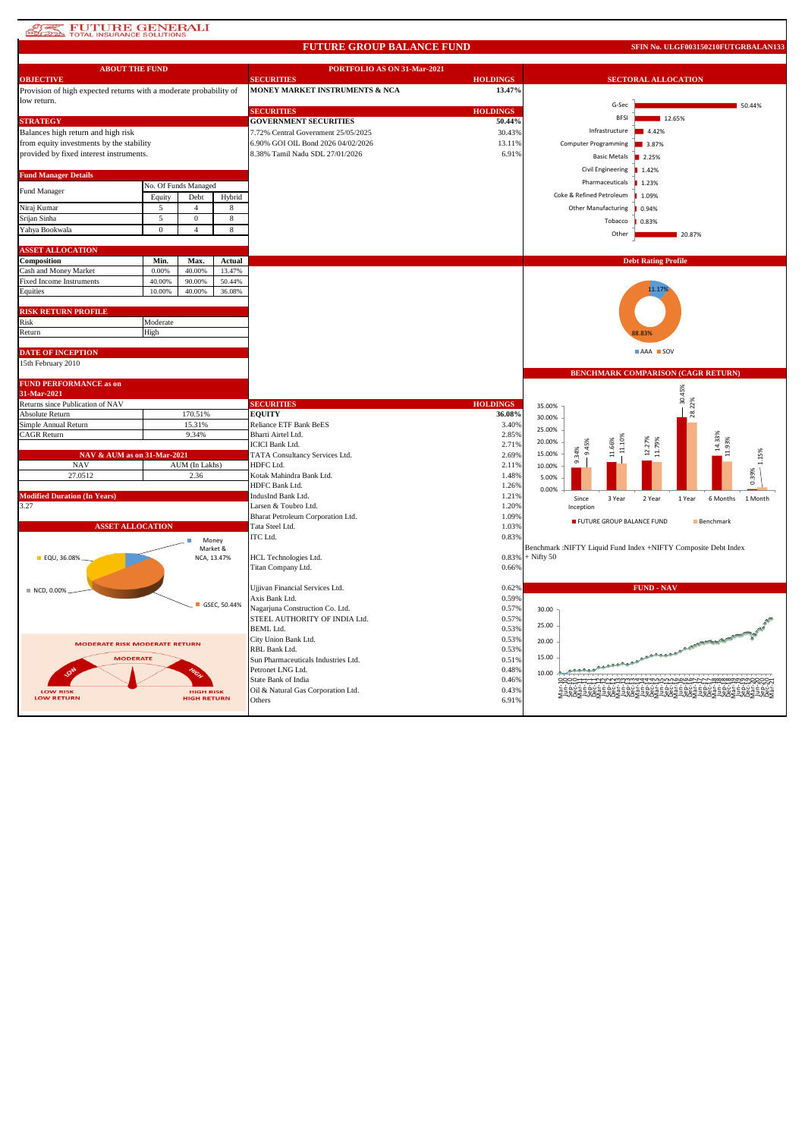# **ATAL FUTURE GENERALI**

#### **FUTURE GROUP BALANCE FUND**

**SFIN No. ULGF003150210FUTGRBALAN133**

| <b>ABOUT THE FUND</b>                                             |              |                      |                         | PORTFOLIO AS ON 31-Mar-2021                          |                 |              |                           |                                                                |  |
|-------------------------------------------------------------------|--------------|----------------------|-------------------------|------------------------------------------------------|-----------------|--------------|---------------------------|----------------------------------------------------------------|--|
| <b>OBJECTIVE</b>                                                  |              |                      |                         | <b>SECURITIES</b>                                    | <b>HOLDINGS</b> |              |                           | <b>SECTORAL ALLOCATION</b>                                     |  |
| Provision of high expected returns with a moderate probability of |              |                      |                         | MONEY MARKET INSTRUMENTS & NCA                       | 13.47%          |              |                           |                                                                |  |
| low return.                                                       |              |                      |                         |                                                      |                 |              | G-Sec                     | 50.44%                                                         |  |
|                                                                   |              |                      |                         | <b>SECURITIES</b>                                    | <b>HOLDINGS</b> |              | <b>BFSI</b>               | 12.65%                                                         |  |
| <b>STRATEGY</b>                                                   |              |                      |                         | <b>GOVERNMENT SECURITIES</b>                         | 50.44%          |              |                           |                                                                |  |
| Balances high return and high risk                                |              |                      |                         | 7.72% Central Government 25/05/2025                  | 30.43%          |              | Infrastructure            | 4.42%                                                          |  |
| from equity investments by the stability                          |              |                      |                         | 6.90% GOI OIL Bond 2026 04/02/2026                   | 13.11%          |              | Computer Programming      | 3.87%                                                          |  |
| provided by fixed interest instruments.                           |              |                      |                         | 8.38% Tamil Nadu SDL 27/01/2026                      | 6.91%           |              | <b>Basic Metals</b>       | 2.25%                                                          |  |
|                                                                   |              |                      |                         |                                                      |                 |              | Civil Engineering         | 1.42%                                                          |  |
| <b>Fund Manager Details</b>                                       |              |                      |                         |                                                      |                 |              | Pharmaceuticals           | 1.23%                                                          |  |
| Fund Manager                                                      |              | No. Of Funds Managed |                         |                                                      |                 |              |                           |                                                                |  |
|                                                                   | Equity       | Debt                 | Hybrid                  |                                                      |                 |              | Coke & Refined Petroleum  | 1.09%                                                          |  |
| Niraj Kumar                                                       | 5            | $\overline{4}$       | 8                       |                                                      |                 |              | Other Manufacturing       | 0.94%                                                          |  |
| Srijan Sinha                                                      | 5            | $\mathbf{0}$         | 8                       |                                                      |                 |              | Tobacco                   | 0.83%                                                          |  |
| Yahya Bookwala                                                    | $\mathbf{0}$ | $\overline{4}$       | 8                       |                                                      |                 |              | Other                     | 20.87%                                                         |  |
|                                                                   |              |                      |                         |                                                      |                 |              |                           |                                                                |  |
| <b>ASSET ALLOCATION</b>                                           |              |                      |                         |                                                      |                 |              |                           |                                                                |  |
| Composition                                                       | Min.         | Max.                 | Actual                  |                                                      |                 |              |                           | <b>Debt Rating Profile</b>                                     |  |
| Cash and Money Market                                             | 0.00%        | 40.00%               | 13.47%                  |                                                      |                 |              |                           |                                                                |  |
| Fixed Income Instruments                                          | 40.00%       | 90.00%               | 50.44%                  |                                                      |                 |              |                           |                                                                |  |
| Equities                                                          | 10.00%       | 40.00%               | 36.08%                  |                                                      |                 |              |                           | 11.17%                                                         |  |
|                                                                   |              |                      |                         |                                                      |                 |              |                           |                                                                |  |
| <b>RISK RETURN PROFILE</b>                                        |              |                      |                         |                                                      |                 |              |                           |                                                                |  |
| Risk                                                              | Moderate     |                      |                         |                                                      |                 |              |                           |                                                                |  |
| Return                                                            | High         |                      |                         |                                                      |                 |              |                           |                                                                |  |
|                                                                   |              |                      |                         |                                                      |                 |              |                           |                                                                |  |
| <b>DATE OF INCEPTION</b>                                          |              |                      |                         |                                                      |                 |              |                           | AAA SOV                                                        |  |
| 15th February 2010                                                |              |                      |                         |                                                      |                 |              |                           |                                                                |  |
|                                                                   |              |                      |                         |                                                      |                 |              |                           | <b>BENCHMARK COMPARISON (CAGR RETURN)</b>                      |  |
| <b>FUND PERFORMANCE as on</b>                                     |              |                      |                         |                                                      |                 |              |                           | 30.45%                                                         |  |
| 31-Mar-2021                                                       |              |                      |                         |                                                      |                 |              |                           |                                                                |  |
|                                                                   |              |                      |                         |                                                      |                 |              |                           |                                                                |  |
| Returns since Publication of NAV                                  |              |                      |                         | <b>SECURITIES</b>                                    | <b>HOLDINGS</b> | 35.00%       |                           |                                                                |  |
| Absolute Return                                                   |              | 170.51%              |                         | <b>EQUITY</b>                                        | 36.08%          | 30.00%       |                           | 28.22%                                                         |  |
| Simple Annual Return                                              |              | 15.31%               |                         | Reliance ETF Bank BeES                               | 3.40%           | 25.00%       |                           |                                                                |  |
| CAGR Return                                                       |              | 9.34%                |                         | Bharti Airtel Ltd.                                   | 2.85%           | 20.00%       |                           |                                                                |  |
|                                                                   |              |                      |                         | <b>ICICI Bank Ltd.</b>                               | 2.71%           |              | 11.10%<br>9.45%           | 12.27%<br>혹                                                    |  |
| NAV & AUM as on 31-Mar-2021                                       |              |                      |                         | TATA Consultancy Services Ltd.                       | 2.69%           | 15.00%       | 11.66%<br>9.34%           | 11.93%<br>11.79%                                               |  |
| <b>NAV</b>                                                        |              | AUM (In Lakhs)       |                         | HDFC Ltd.                                            | 2.11%           | 10.00%       |                           |                                                                |  |
| 27.0512                                                           |              | 2.36                 |                         | Kotak Mahindra Bank Ltd.                             | 1.48%           | 5.00%        |                           | 0.39%                                                          |  |
|                                                                   |              |                      |                         | HDFC Bank Ltd.                                       | 1.26%           | 0.00%        |                           |                                                                |  |
| <b>Modified Duration (In Years)</b>                               |              |                      |                         | IndusInd Bank Ltd.                                   | 1.21%           |              | Since<br>3 Year           | 2 Year<br>1 Year<br>6 Months<br>1 Month                        |  |
| 3.27                                                              |              |                      |                         | Larsen & Toubro Ltd.                                 | 1.20%           |              | Inception                 |                                                                |  |
| <b>ASSET ALLOCATION</b>                                           |              |                      |                         | Bharat Petroleum Corporation Ltd.<br>Tata Steel Ltd. | 1.09%<br>1.03%  |              | FUTURE GROUP BALANCE FUND | Benchmark                                                      |  |
|                                                                   |              |                      |                         | ITC Ltd.                                             | 0.83%           |              |                           |                                                                |  |
|                                                                   |              | Money                |                         |                                                      |                 |              |                           | Benchmark :NIFTY Liquid Fund Index +NIFTY Composite Debt Index |  |
| <b>EQU, 36.08%</b>                                                |              |                      | Market &<br>NCA, 13.47% | HCL Technologies Ltd.                                | 0.83%           | $+$ Nifty 50 |                           |                                                                |  |
|                                                                   |              |                      |                         | Titan Company Ltd.                                   | 0.66%           |              |                           |                                                                |  |
|                                                                   |              |                      |                         |                                                      |                 |              |                           |                                                                |  |
|                                                                   |              |                      |                         | Ujjivan Financial Services Ltd.                      | 0.62%           |              |                           | <b>FUND - NAV</b>                                              |  |
| ■ NCD, 0.00%                                                      |              |                      |                         | Axis Bank Ltd.                                       | 0.59%           |              |                           |                                                                |  |
|                                                                   |              |                      | GSEC, 50.44%            | Nagarjuna Construction Co. Ltd.                      | 0.57%           | 30.00        |                           |                                                                |  |
|                                                                   |              |                      |                         | STEEL AUTHORITY OF INDIA Ltd.                        | 0.57%           |              |                           |                                                                |  |
|                                                                   |              |                      |                         | <b>BEML</b> Ltd.                                     | 0.53%           | 25.00        |                           |                                                                |  |
|                                                                   |              |                      |                         | City Union Bank Ltd.                                 | 0.53%           | 20.00        |                           |                                                                |  |
| <b>MODERATE RISK MODERATE RETURN</b>                              |              |                      |                         | RBL Bank Ltd.                                        | 0.53%           |              |                           | <b>A CONSTANT REPORT OF THE REAL PROPERTY</b>                  |  |
| <b>MODERATE</b>                                                   |              |                      |                         | Sun Pharmaceuticals Industries Ltd.                  | 0.51%           | 15.00        |                           |                                                                |  |
|                                                                   |              |                      |                         | Petronet LNG Ltd.                                    | 0.48%           | 10.00        |                           |                                                                |  |
|                                                                   |              |                      |                         | State Bank of India                                  | 0.46%           |              |                           |                                                                |  |
| LOW RISK                                                          |              | <b>HIGH RISK</b>     |                         | Oil & Natural Gas Corporation Ltd.                   | 0.43%           |              |                           | <b>BAREBAREBAREBAREBARE</b>                                    |  |
| <b>LOW RETURN</b>                                                 |              | <b>HIGH RETURN</b>   |                         | Others                                               | 6.91%           |              |                           |                                                                |  |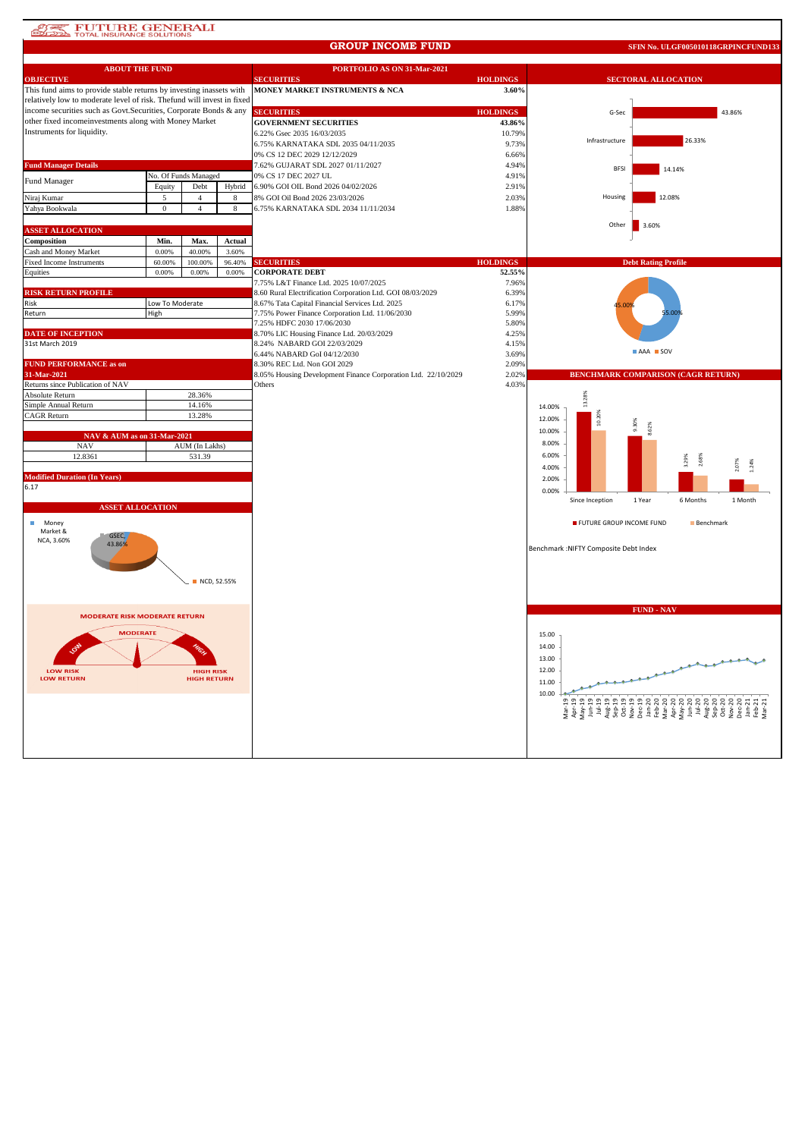## **AT PUTURE GENERALI**

#### **GROUP INCOME FUND**

**SFIN No. ULGF005010118GRPINCFUND133**

| <b>ABOUT THE FUND</b>                                                  |                 |                                        |        | PORTFOLIO AS ON 31-Mar-2021                                   |                 |                                        |                                           |  |
|------------------------------------------------------------------------|-----------------|----------------------------------------|--------|---------------------------------------------------------------|-----------------|----------------------------------------|-------------------------------------------|--|
| <b>OBJECTIVE</b>                                                       |                 |                                        |        | <b>SECURITIES</b>                                             | <b>HOLDINGS</b> |                                        | <b>SECTORAL ALLOCATION</b>                |  |
| This fund aims to provide stable returns by investing inassets with    |                 |                                        |        | MONEY MARKET INSTRUMENTS & NCA                                | 3.60%           |                                        |                                           |  |
| relatively low to moderate level of risk. Thefund will invest in fixed |                 |                                        |        |                                                               |                 |                                        |                                           |  |
| income securities such as Govt.Securities, Corporate Bonds & any       |                 |                                        |        | <b>SECURITIES</b>                                             | <b>HOLDINGS</b> | G-Sec                                  | 43.86%                                    |  |
| other fixed incomeinvestments along with Money Market                  |                 |                                        |        | <b>GOVERNMENT SECURITIES</b>                                  | 43.86%          |                                        |                                           |  |
| Instruments for liquidity.                                             |                 |                                        |        | 6.22% Gsec 2035 16/03/2035                                    | 10.79%          |                                        |                                           |  |
|                                                                        |                 |                                        |        |                                                               |                 | Infrastructure                         | 26.33%                                    |  |
|                                                                        |                 |                                        |        | 6.75% KARNATAKA SDL 2035 04/11/2035                           | 9.73%           |                                        |                                           |  |
|                                                                        |                 |                                        |        | 0% CS 12 DEC 2029 12/12/2029                                  | 6.66%           |                                        |                                           |  |
| <b>Fund Manager Details</b>                                            |                 |                                        |        | 7.62% GUJARAT SDL 2027 01/11/2027                             | 4.94%           | <b>BFSI</b>                            | 14.14%                                    |  |
| Fund Manager                                                           |                 | No. Of Funds Managed                   |        | 0% CS 17 DEC 2027 UL                                          | 4.91%           |                                        |                                           |  |
|                                                                        | Equity          | Debt                                   | Hybrid | 6.90% GOI OIL Bond 2026 04/02/2026                            | 2.91%           |                                        |                                           |  |
| Niraj Kumar                                                            | 5               | $\overline{4}$                         | 8      | 8% GOI Oil Bond 2026 23/03/2026                               | 2.03%           | Housing                                | 12.08%                                    |  |
| Yahya Bookwala                                                         | $\bf{0}$        | $\overline{4}$                         | 8      | 6.75% KARNATAKA SDL 2034 11/11/2034                           | 1.88%           |                                        |                                           |  |
|                                                                        |                 |                                        |        |                                                               |                 | Other                                  |                                           |  |
| <b>ASSET ALLOCATION</b>                                                |                 |                                        |        |                                                               |                 |                                        | 3.60%                                     |  |
| Composition                                                            | Min.            | Max.                                   | Actual |                                                               |                 |                                        |                                           |  |
| Cash and Money Market                                                  | 0.00%           | 40.00%                                 | 3.60%  |                                                               |                 |                                        |                                           |  |
| <b>Fixed Income Instruments</b>                                        | 60.00%          | 100.00%                                | 96.40% | <b>SECURITIES</b>                                             | <b>HOLDINGS</b> |                                        | <b>Debt Rating Profile</b>                |  |
| Equities                                                               | 0.00%           | 0.00%                                  | 0.00%  | <b>CORPORATE DEBT</b>                                         | 52.55%          |                                        |                                           |  |
|                                                                        |                 |                                        |        | 7.75% L&T Finance Ltd. 2025 10/07/2025                        | 7.96%           |                                        |                                           |  |
| <b>RISK RETURN PROFILE</b>                                             |                 |                                        |        | 8.60 Rural Electrification Corporation Ltd. GOI 08/03/2029    | 6.39%           |                                        |                                           |  |
| Risk                                                                   | Low To Moderate |                                        |        | 8.67% Tata Capital Financial Services Ltd. 2025               | 6.17%           |                                        |                                           |  |
| Return                                                                 | High            |                                        |        | 7.75% Power Finance Corporation Ltd. 11/06/2030               | 5.99%           |                                        | .00                                       |  |
|                                                                        |                 |                                        |        | 7.25% HDFC 2030 17/06/2030                                    | 5.80%           |                                        |                                           |  |
| <b>DATE OF INCEPTION</b>                                               |                 |                                        |        | 8.70% LIC Housing Finance Ltd. 20/03/2029                     | 4.25%           |                                        |                                           |  |
| 31st March 2019                                                        |                 |                                        |        | 8.24% NABARD GOI 22/03/2029                                   | 4.15%           |                                        |                                           |  |
|                                                                        |                 |                                        |        | 6.44% NABARD GoI 04/12/2030                                   | 3.69%           |                                        | <b>AAA</b> SOV                            |  |
| <b>FUND PERFORMANCE as on</b>                                          |                 |                                        |        | 8.30% REC Ltd. Non GOI 2029                                   | 2.09%           |                                        |                                           |  |
| 31-Mar-2021                                                            |                 |                                        |        | 8.05% Housing Development Finance Corporation Ltd. 22/10/2029 | 2.02%           |                                        | <b>BENCHMARK COMPARISON (CAGR RETURN)</b> |  |
|                                                                        |                 |                                        |        |                                                               | 4.03%           |                                        |                                           |  |
| Returns since Publication of NAV<br>Absolute Return                    |                 | 28.36%                                 |        | Others                                                        |                 |                                        |                                           |  |
|                                                                        |                 |                                        |        |                                                               |                 | 13.28%                                 |                                           |  |
| Simple Annual Return                                                   |                 | 14.16%                                 |        |                                                               |                 | 14.00%                                 |                                           |  |
| <b>CAGR Return</b>                                                     |                 | 13.28%                                 |        |                                                               |                 | 12.00%                                 | 1.30%                                     |  |
|                                                                        |                 |                                        |        |                                                               |                 | 10.00%                                 |                                           |  |
| NAV & AUM as on 31-Mar-2021                                            |                 |                                        |        |                                                               |                 | 8.00%                                  |                                           |  |
| <b>NAV</b>                                                             |                 | AUM (In Lakhs)                         |        |                                                               |                 |                                        |                                           |  |
| 12.8361                                                                |                 | 531.39                                 |        |                                                               |                 | 6.00%                                  | 29%                                       |  |
|                                                                        |                 |                                        |        |                                                               |                 | 4.00%                                  |                                           |  |
| <b>Modified Duration (In Years)</b>                                    |                 |                                        |        |                                                               |                 | 2.00%                                  |                                           |  |
| 6.17                                                                   |                 |                                        |        |                                                               |                 | 0.00%                                  |                                           |  |
|                                                                        |                 |                                        |        |                                                               |                 | Since Inception                        | 1 Year<br>6 Months<br>1 Month             |  |
| <b>ASSET ALLOCATION</b>                                                |                 |                                        |        |                                                               |                 |                                        |                                           |  |
| Money<br>п                                                             |                 |                                        |        |                                                               |                 | FUTURE GROUP INCOME FUND               | <b>Benchmark</b>                          |  |
| Market &<br>GSEC,                                                      |                 |                                        |        |                                                               |                 |                                        |                                           |  |
| NCA, 3.60%<br>43.86%                                                   |                 |                                        |        |                                                               |                 |                                        |                                           |  |
|                                                                        |                 |                                        |        |                                                               |                 | Benchmark : NIFTY Composite Debt Index |                                           |  |
|                                                                        |                 |                                        |        |                                                               |                 |                                        |                                           |  |
|                                                                        |                 |                                        |        |                                                               |                 |                                        |                                           |  |
|                                                                        |                 | NCD, 52.55%                            |        |                                                               |                 |                                        |                                           |  |
|                                                                        |                 |                                        |        |                                                               |                 |                                        |                                           |  |
|                                                                        |                 |                                        |        |                                                               |                 |                                        |                                           |  |
| <b>MODERATE RISK MODERATE RETURN</b>                                   |                 |                                        |        |                                                               |                 |                                        | <b>FUND - NAV</b>                         |  |
|                                                                        |                 |                                        |        |                                                               |                 |                                        |                                           |  |
| <b>MODERATE</b>                                                        |                 |                                        |        |                                                               |                 | 15.00                                  |                                           |  |
|                                                                        |                 |                                        |        |                                                               |                 | 14.00                                  |                                           |  |
|                                                                        |                 |                                        |        |                                                               |                 | 13.00                                  |                                           |  |
|                                                                        |                 |                                        |        |                                                               |                 |                                        |                                           |  |
| <b>LOW RISK</b><br><b>LOW RETURN</b>                                   |                 | <b>HIGH RISK</b><br><b>HIGH RETURN</b> |        |                                                               |                 | 12.00                                  |                                           |  |
|                                                                        |                 |                                        |        |                                                               |                 | 11.00                                  |                                           |  |
|                                                                        |                 |                                        |        |                                                               |                 | 10.00                                  |                                           |  |
|                                                                        |                 |                                        |        |                                                               |                 |                                        |                                           |  |
|                                                                        |                 |                                        |        |                                                               |                 |                                        |                                           |  |
|                                                                        |                 |                                        |        |                                                               |                 |                                        |                                           |  |
|                                                                        |                 |                                        |        |                                                               |                 |                                        |                                           |  |
|                                                                        |                 |                                        |        |                                                               |                 |                                        |                                           |  |
|                                                                        |                 |                                        |        |                                                               |                 |                                        |                                           |  |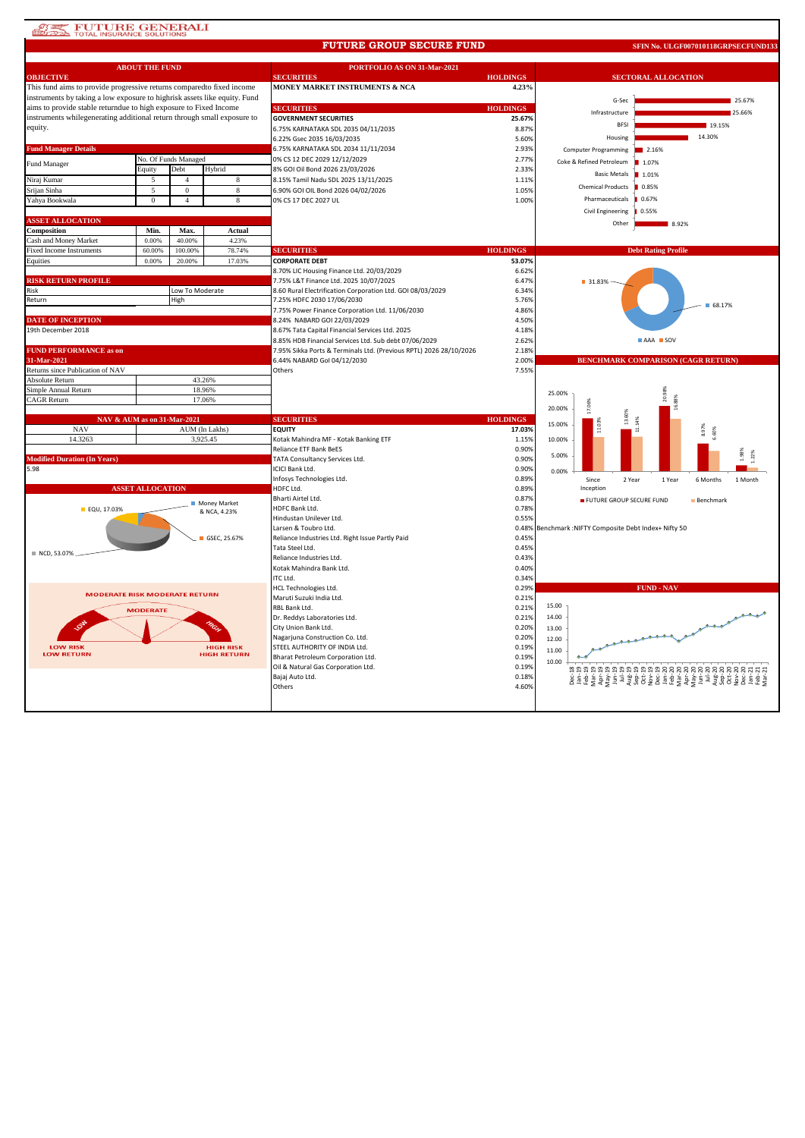### **START FUTURE GENERALI**

#### **FUTURE GROUP SECURE FUND**

**SFIN No. ULGF007010118GRPSECFUND133**

|                                                                           | <b>ABOUT THE FUND</b>   |                      |                    | PORTFOLIO AS ON 31-Mar-2021                                        |                 |                                                  |  |
|---------------------------------------------------------------------------|-------------------------|----------------------|--------------------|--------------------------------------------------------------------|-----------------|--------------------------------------------------|--|
| <b>OBJECTIVE</b>                                                          |                         |                      |                    | <b>SECURITIES</b>                                                  | <b>HOLDINGS</b> | <b>SECTORAL ALLOCATION</b>                       |  |
| This fund aims to provide progressive returns comparedto fixed income     |                         |                      |                    | <b>MONEY MARKET INSTRUMENTS &amp; NCA</b>                          | 4.23%           |                                                  |  |
| instruments by taking a low exposure to highrisk assets like equity. Fund |                         |                      |                    |                                                                    |                 | G-Sec<br>25.67%                                  |  |
| aims to provide stable returndue to high exposure to Fixed Income         |                         |                      |                    | <b>SECURITIES</b>                                                  | <b>HOLDINGS</b> | Infrastructure<br>25.66%                         |  |
| instruments whilegenerating additional return through small exposure to   |                         |                      |                    | <b>GOVERNMENT SECURITIES</b>                                       | 25.67%          |                                                  |  |
| equity.                                                                   |                         |                      |                    | 6.75% KARNATAKA SDL 2035 04/11/2035                                | 8.87%           | <b>BESI</b><br>19.15%                            |  |
|                                                                           |                         |                      |                    | 6.22% Gsec 2035 16/03/2035                                         | 5.60%           | 14.30%<br>Housing                                |  |
| <b>Fund Manager Details</b>                                               |                         |                      |                    | 6.75% KARNATAKA SDL 2034 11/11/2034                                | 2.93%           | <b>Computer Programming</b><br>2.16%             |  |
|                                                                           |                         | No. Of Funds Managed |                    | 0% CS 12 DEC 2029 12/12/2029                                       | 2.77%           | Coke & Refined Petroleum<br>■ 1.07%              |  |
| Fund Manager                                                              | Equity                  | Debt                 | Hybrid             | 8% GOI Oil Bond 2026 23/03/2026                                    | 2.33%           |                                                  |  |
| Niraj Kumar                                                               | 5                       | $\overline{4}$       | 8                  | 8.15% Tamil Nadu SDL 2025 13/11/2025                               | 1.11%           | <b>Basic Metals</b><br>1.01%                     |  |
| Srijan Sinha                                                              | $\overline{5}$          | $\Omega$             | 8                  | 6.90% GOI OIL Bond 2026 04/02/2026                                 | 1.05%           | <b>Chemical Products</b><br>0.85%                |  |
| Yahya Bookwala                                                            | $\bf{0}$                | $\overline{4}$       | 8                  | 0% CS 17 DEC 2027 UL                                               | 1.00%           | Pharmaceuticals<br>0.67%                         |  |
|                                                                           |                         |                      |                    |                                                                    |                 | Civil Engineering<br>0.55%                       |  |
| <b>ASSET ALLOCATION</b>                                                   |                         |                      |                    |                                                                    |                 | Other                                            |  |
| Composition                                                               | Min.                    | Max.                 | Actual             |                                                                    |                 | 8.92%                                            |  |
| Cash and Money Market                                                     | 0.00%                   | 40.00%               | 4.23%              |                                                                    |                 |                                                  |  |
| <b>Fixed Income Instruments</b>                                           | 60.00%                  | 100.00%              | 78.74%             | <b>SECURITIES</b>                                                  | <b>HOLDINGS</b> | <b>Debt Rating Profile</b>                       |  |
| Equities                                                                  | 0.00%                   | 20.00%               | 17.03%             | <b>CORPORATE DEBT</b>                                              | 53.07%          |                                                  |  |
|                                                                           |                         |                      |                    | 8.70% LIC Housing Finance Ltd. 20/03/2029                          | 6.62%           |                                                  |  |
| <b>RISK RETURN PROFILE</b>                                                |                         |                      |                    | 7.75% L&T Finance Ltd. 2025 10/07/2025                             | 6.47%           | ■ 31.83%                                         |  |
| Risk                                                                      |                         | Low To Moderate      |                    | 8.60 Rural Electrification Corporation Ltd. GOI 08/03/2029         | 6.34%           |                                                  |  |
| Return                                                                    |                         | High                 |                    | 7.25% HDFC 2030 17/06/2030                                         | 5.76%           |                                                  |  |
|                                                                           |                         |                      |                    | 7.75% Power Finance Corporation Ltd. 11/06/2030                    | 4.86%           | 68.17%                                           |  |
| <b>DATE OF INCEPTION</b>                                                  |                         |                      |                    | 8.24% NABARD GOI 22/03/2029                                        | 4.50%           |                                                  |  |
| 19th December 2018                                                        |                         |                      |                    | 8.67% Tata Capital Financial Services Ltd. 2025                    | 4.18%           |                                                  |  |
|                                                                           |                         |                      |                    | 8.85% HDB Financial Services Ltd. Sub debt 07/06/2029              | 2.62%           | AAA SOV                                          |  |
| <b>FUND PERFORMANCE as on</b>                                             |                         |                      |                    | 7.95% Sikka Ports & Terminals Ltd. (Previous RPTL) 2026 28/10/2026 | 2.18%           |                                                  |  |
| 31-Mar-2021                                                               |                         |                      |                    | 6.44% NABARD Gol 04/12/2030                                        | 2.00%           | <b>BENCHMARK COMPARISON (CAGR RETURN)</b>        |  |
| Returns since Publication of NAV                                          |                         |                      |                    | Others                                                             | 7.55%           |                                                  |  |
| Absolute Return                                                           |                         |                      | 43.26%             |                                                                    |                 |                                                  |  |
|                                                                           |                         |                      |                    |                                                                    |                 |                                                  |  |
| Simple Annual Return                                                      |                         |                      | 18.96%             |                                                                    |                 | 25.00%                                           |  |
| CAGR Return                                                               |                         |                      | 17.06%             |                                                                    |                 | 20.                                              |  |
|                                                                           |                         |                      |                    |                                                                    |                 | 20.00%                                           |  |
| NAV & AUM as on 31-Mar-2021                                               |                         |                      |                    | <b>SECURITIES</b>                                                  | <b>HOLDINGS</b> | 15.00%                                           |  |
| <b>NAV</b>                                                                |                         |                      | AUM (In Lakhs)     | <b>EQUITY</b>                                                      | 17.03%          |                                                  |  |
| 14.3263                                                                   |                         |                      | 3,925.45           | Kotak Mahindra MF - Kotak Banking ETF                              | 1.15%           | 10.00%                                           |  |
|                                                                           |                         |                      |                    | Reliance ETF Bank BeES                                             | 0.90%           |                                                  |  |
| <b>Modified Duration (In Years)</b>                                       |                         |                      |                    | TATA Consultancy Services Ltd.                                     | 0.90%           | 22%<br>5.00%                                     |  |
| 5.98                                                                      |                         |                      |                    | ICICI Bank Ltd.                                                    | 0.90%           | 0.00%                                            |  |
|                                                                           |                         |                      |                    | Infosys Technologies Ltd.                                          | 0.89%           | 2 Year<br>Since<br>1 Year<br>6 Months<br>1 Month |  |
|                                                                           | <b>ASSET ALLOCATION</b> |                      |                    | HDFC Ltd.                                                          | 0.89%           | Inception                                        |  |
|                                                                           |                         |                      | Money Market       | Bharti Airtel Ltd.                                                 | 0.87%           | FUTURE GROUP SECURE FUND<br>Benchmark            |  |
| EQU, 17.03%                                                               |                         |                      | & NCA, 4.23%       | HDFC Bank Ltd.                                                     | 0.78%           |                                                  |  |
|                                                                           |                         |                      |                    | Hindustan Unilever Ltd.                                            | 0.55%           |                                                  |  |
|                                                                           |                         |                      |                    | Larsen & Toubro Ltd.                                               | 0.48%           | Benchmark :NIFTY Composite Debt Index+ Nifty 50  |  |
|                                                                           |                         |                      | GSEC, 25.67%       | Reliance Industries Ltd. Right Issue Partly Paid                   | 0.45%           |                                                  |  |
| NCD, 53.07%                                                               |                         |                      |                    | Tata Steel Ltd.                                                    | 0.45%           |                                                  |  |
|                                                                           |                         |                      |                    | Reliance Industries Ltd.                                           | 0.43%           |                                                  |  |
|                                                                           |                         |                      |                    | Kotak Mahindra Bank Ltd.                                           | 0.40%           |                                                  |  |
|                                                                           |                         |                      |                    | ITC Ltd.                                                           | 0.34%           |                                                  |  |
| <b>MODERATE RISK MODERATE RETURN</b>                                      |                         |                      |                    | HCL Technologies Ltd.                                              | 0.29%           | <b>FUND - NAV</b>                                |  |
|                                                                           |                         |                      |                    | Maruti Suzuki India Ltd.                                           | 0.21%           | 15.00                                            |  |
|                                                                           | <b>MODERATE</b>         |                      |                    | RBL Bank Ltd.                                                      | 0.21%           |                                                  |  |
|                                                                           |                         |                      |                    | Dr. Reddys Laboratories Ltd.                                       | 0.21%           | 14.00                                            |  |
|                                                                           |                         |                      |                    | City Union Bank Ltd.                                               | 0.20%           | 13.00                                            |  |
| <b>LOW RISK</b>                                                           |                         |                      | <b>HIGH RISK</b>   | Nagarjuna Construction Co. Ltd.<br>STEEL AUTHORITY OF INDIA Ltd.   | 0.20%<br>0.19%  | 12.00                                            |  |
| <b>LOW RETURN</b>                                                         |                         |                      | <b>HIGH RETURN</b> | Bharat Petroleum Corporation Ltd.                                  | 0.19%           | 11.00                                            |  |
|                                                                           |                         |                      |                    | Oil & Natural Gas Corporation Ltd.                                 | 0.19%           | 10.00                                            |  |
|                                                                           |                         |                      |                    | Bajaj Auto Ltd.                                                    | 0.18%           |                                                  |  |
|                                                                           |                         |                      |                    | Others                                                             | 4.60%           |                                                  |  |
|                                                                           |                         |                      |                    |                                                                    |                 |                                                  |  |